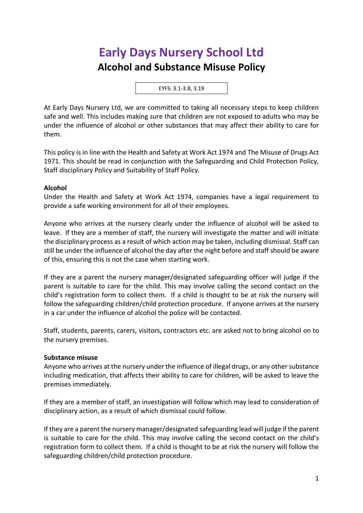# **Early Days Nursery School Ltd Alcohol and Substance Misuse Policy**

EYFS: 3.1-3.8, 3.19

At Early Days Nursery Ltd, we are committed to taking all necessary steps to keep children safe and well. This includes making sure that children are not exposed to adults who may be under the influence of alcohol or other substances that may affect their ability to care for them.

This policy is in line with the Health and Safety at Work Act 1974 and The Misuse of Drugs Act 1971. This should be read in conjunction with the Safeguarding and Child Protection Policy, Staff disciplinary Policy and Suitability of Staff Policy.

#### **Alcohol**

Under the Health and Safety at Work Act 1974, companies have a legal requirement to provide a safe working environment for all of their employees.

Anyone who arrives at the nursery clearly under the influence of alcohol will be asked to leave. If they are a member of staff, the nursery will investigate the matter and will initiate the disciplinary process as a result of which action may be taken, including dismissal. Staff can still be under the influence of alcohol the day after the night before and staff should be aware of this, ensuring this is not the case when starting work.

If they are a parent the nursery manager/designated safeguarding officer will judge if the parent is suitable to care for the child. This may involve calling the second contact on the child's registration form to collect them. If a child is thought to be at risk the nursery will follow the safeguarding children/child protection procedure. If anyone arrives at the nursery in a car under the influence of alcohol the police will be contacted.

Staff, students, parents, carers, visitors, contractors etc. are asked not to bring alcohol on to the nursery premises.

#### **Substance misuse**

Anyone who arrives at the nursery under the influence of illegal drugs, or any other substance including medication, that affects their ability to care for children, will be asked to leave the premises immediately.

If they are a member of staff, an investigation will follow which may lead to consideration of disciplinary action, as a result of which dismissal could follow.

If they are a parent the nursery manager/designated safeguarding lead will judge if the parent is suitable to care for the child. This may involve calling the second contact on the child's registration form to collect them. If a child is thought to be at risk the nursery will follow the safeguarding children/child protection procedure.